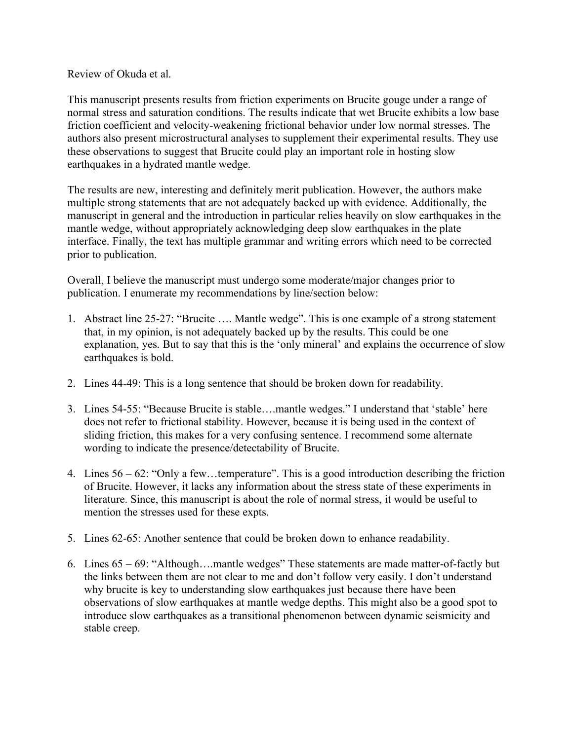Review of Okuda et al.

This manuscript presents results from friction experiments on Brucite gouge under a range of normal stress and saturation conditions. The results indicate that wet Brucite exhibits a low base friction coefficient and velocity-weakening frictional behavior under low normal stresses. The authors also present microstructural analyses to supplement their experimental results. They use these observations to suggest that Brucite could play an important role in hosting slow earthquakes in a hydrated mantle wedge.

The results are new, interesting and definitely merit publication. However, the authors make multiple strong statements that are not adequately backed up with evidence. Additionally, the manuscript in general and the introduction in particular relies heavily on slow earthquakes in the mantle wedge, without appropriately acknowledging deep slow earthquakes in the plate interface. Finally, the text has multiple grammar and writing errors which need to be corrected prior to publication.

Overall, I believe the manuscript must undergo some moderate/major changes prior to publication. I enumerate my recommendations by line/section below:

- 1. Abstract line 25-27: "Brucite …. Mantle wedge". This is one example of a strong statement that, in my opinion, is not adequately backed up by the results. This could be one explanation, yes. But to say that this is the 'only mineral' and explains the occurrence of slow earthquakes is bold.
- 2. Lines 44-49: This is a long sentence that should be broken down for readability.
- 3. Lines 54-55: "Because Brucite is stable….mantle wedges." I understand that 'stable' here does not refer to frictional stability. However, because it is being used in the context of sliding friction, this makes for a very confusing sentence. I recommend some alternate wording to indicate the presence/detectability of Brucite.
- 4. Lines 56 62: "Only a few…temperature". This is a good introduction describing the friction of Brucite. However, it lacks any information about the stress state of these experiments in literature. Since, this manuscript is about the role of normal stress, it would be useful to mention the stresses used for these expts.
- 5. Lines 62-65: Another sentence that could be broken down to enhance readability.
- 6. Lines 65 69: "Although….mantle wedges" These statements are made matter-of-factly but the links between them are not clear to me and don't follow very easily. I don't understand why brucite is key to understanding slow earthquakes just because there have been observations of slow earthquakes at mantle wedge depths. This might also be a good spot to introduce slow earthquakes as a transitional phenomenon between dynamic seismicity and stable creep.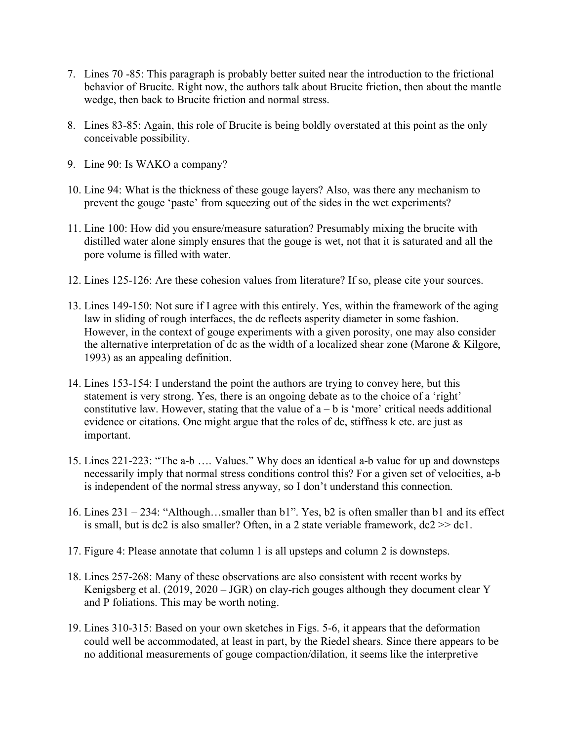- 7. Lines 70 -85: This paragraph is probably better suited near the introduction to the frictional behavior of Brucite. Right now, the authors talk about Brucite friction, then about the mantle wedge, then back to Brucite friction and normal stress.
- 8. Lines 83-85: Again, this role of Brucite is being boldly overstated at this point as the only conceivable possibility.
- 9. Line 90: Is WAKO a company?
- 10. Line 94: What is the thickness of these gouge layers? Also, was there any mechanism to prevent the gouge 'paste' from squeezing out of the sides in the wet experiments?
- 11. Line 100: How did you ensure/measure saturation? Presumably mixing the brucite with distilled water alone simply ensures that the gouge is wet, not that it is saturated and all the pore volume is filled with water.
- 12. Lines 125-126: Are these cohesion values from literature? If so, please cite your sources.
- 13. Lines 149-150: Not sure if I agree with this entirely. Yes, within the framework of the aging law in sliding of rough interfaces, the dc reflects asperity diameter in some fashion. However, in the context of gouge experiments with a given porosity, one may also consider the alternative interpretation of dc as the width of a localized shear zone (Marone & Kilgore, 1993) as an appealing definition.
- 14. Lines 153-154: I understand the point the authors are trying to convey here, but this statement is very strong. Yes, there is an ongoing debate as to the choice of a 'right' constitutive law. However, stating that the value of  $a - b$  is 'more' critical needs additional evidence or citations. One might argue that the roles of dc, stiffness k etc. are just as important.
- 15. Lines 221-223: "The a-b …. Values." Why does an identical a-b value for up and downsteps necessarily imply that normal stress conditions control this? For a given set of velocities, a-b is independent of the normal stress anyway, so I don't understand this connection.
- 16. Lines 231 234: "Although…smaller than b1". Yes, b2 is often smaller than b1 and its effect is small, but is dc2 is also smaller? Often, in a 2 state veriable framework, dc2 >> dc1.
- 17. Figure 4: Please annotate that column 1 is all upsteps and column 2 is downsteps.
- 18. Lines 257-268: Many of these observations are also consistent with recent works by Kenigsberg et al. (2019, 2020 – JGR) on clay-rich gouges although they document clear Y and P foliations. This may be worth noting.
- 19. Lines 310-315: Based on your own sketches in Figs. 5-6, it appears that the deformation could well be accommodated, at least in part, by the Riedel shears. Since there appears to be no additional measurements of gouge compaction/dilation, it seems like the interpretive